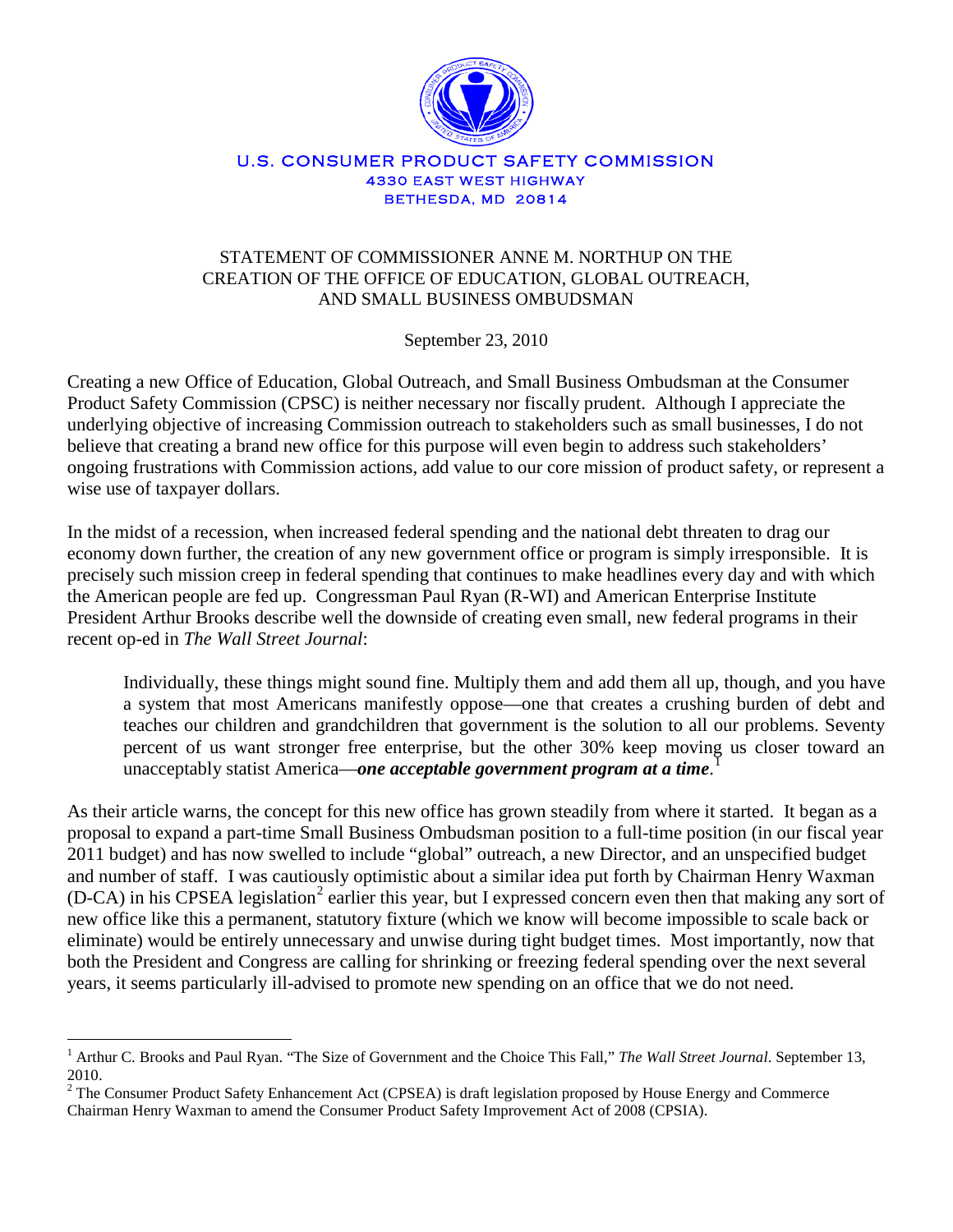

## U.S. CONSUMER PRODUCT SAFETY COMMISSION 4330 EAST WEST HIGHWAY BETHESDA, MD 20814

## STATEMENT OF COMMISSIONER ANNE M. NORTHUP ON THE CREATION OF THE OFFICE OF EDUCATION, GLOBAL OUTREACH, AND SMALL BUSINESS OMBUDSMAN

September 23, 2010

Creating a new Office of Education, Global Outreach, and Small Business Ombudsman at the Consumer Product Safety Commission (CPSC) is neither necessary nor fiscally prudent. Although I appreciate the underlying objective of increasing Commission outreach to stakeholders such as small businesses, I do not believe that creating a brand new office for this purpose will even begin to address such stakeholders' ongoing frustrations with Commission actions, add value to our core mission of product safety, or represent a wise use of taxpayer dollars.

In the midst of a recession, when increased federal spending and the national debt threaten to drag our economy down further, the creation of any new government office or program is simply irresponsible. It is precisely such mission creep in federal spending that continues to make headlines every day and with which the American people are fed up. Congressman Paul Ryan (R-WI) and American Enterprise Institute President Arthur Brooks describe well the downside of creating even small, new federal programs in their recent op-ed in *The Wall Street Journal*:

Individually, these things might sound fine. Multiply them and add them all up, though, and you have a system that most Americans manifestly oppose—one that creates a crushing burden of debt and teaches our children and grandchildren that government is the solution to all our problems. Seventy percent of us want stronger free enterprise, but the other 30% keep moving us closer toward an unacceptably statist America—*one acceptable government program at a time*. [1](#page-0-0)

As their article warns, the concept for this new office has grown steadily from where it started. It began as a proposal to expand a part-time Small Business Ombudsman position to a full-time position (in our fiscal year 2011 budget) and has now swelled to include "global" outreach, a new Director, and an unspecified budget and number of staff. I was cautiously optimistic about a similar idea put forth by Chairman Henry Waxman (D-CA) in his CPSEA legislation<sup>[2](#page-0-1)</sup> earlier this year, but I expressed concern even then that making any sort of new office like this a permanent, statutory fixture (which we know will become impossible to scale back or eliminate) would be entirely unnecessary and unwise during tight budget times. Most importantly, now that both the President and Congress are calling for shrinking or freezing federal spending over the next several years, it seems particularly ill-advised to promote new spending on an office that we do not need.

<span id="page-0-0"></span><sup>&</sup>lt;sup>1</sup> Arthur C. Brooks and Paul Ryan. "The Size of Government and the Choice This Fall," The Wall Street Journal. September 13, 2010.

<span id="page-0-1"></span><sup>&</sup>lt;sup>2</sup> The Consumer Product Safety Enhancement Act (CPSEA) is draft legislation proposed by House Energy and Commerce Chairman Henry Waxman to amend the Consumer Product Safety Improvement Act of 2008 (CPSIA).